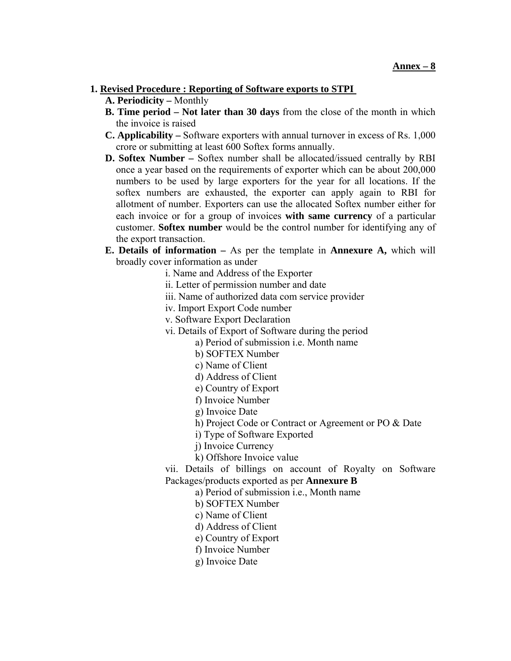### **1. Revised Procedure : Reporting of Software exports to STPI**

- **A. Periodicity** Monthly
- **B. Time period Not later than 30 days** from the close of the month in which the invoice is raised
- **C. Applicability** Software exporters with annual turnover in excess of Rs. 1,000 crore or submitting at least 600 Softex forms annually.
- **D. Softex Number** Softex number shall be allocated/issued centrally by RBI once a year based on the requirements of exporter which can be about 200,000 numbers to be used by large exporters for the year for all locations. If the softex numbers are exhausted, the exporter can apply again to RBI for allotment of number. Exporters can use the allocated Softex number either for each invoice or for a group of invoices **with same currency** of a particular customer. **Softex number** would be the control number for identifying any of the export transaction.
- **E. Details of information** As per the template in **Annexure A,** which will broadly cover information as under
	- i. Name and Address of the Exporter
	- ii. Letter of permission number and date
	- iii. Name of authorized data com service provider
	- iv. Import Export Code number
	- v. Software Export Declaration
	- vi. Details of Export of Software during the period
		- a) Period of submission i.e. Month name
			- b) SOFTEX Number
			- c) Name of Client
			- d) Address of Client
			- e) Country of Export
			- f) Invoice Number
			- g) Invoice Date
			- h) Project Code or Contract or Agreement or PO & Date
			- i) Type of Software Exported
			- j) Invoice Currency
			- k) Offshore Invoice value

vii. Details of billings on account of Royalty on Software Packages/products exported as per **Annexure B** 

- a) Period of submission i.e., Month name
- b) SOFTEX Number
- c) Name of Client
- d) Address of Client
- e) Country of Export
- f) Invoice Number
- g) Invoice Date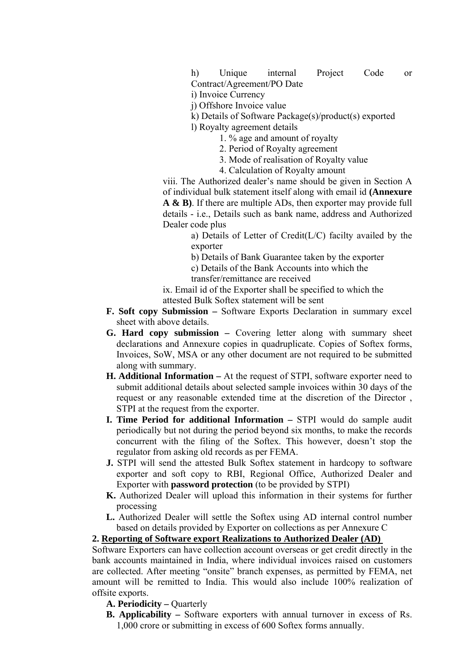i) Invoice Currency

j) Offshore Invoice value

k) Details of Software Package(s)/product(s) exported

l) Royalty agreement details

1. % age and amount of royalty

2. Period of Royalty agreement

- 3. Mode of realisation of Royalty value
- 4. Calculation of Royalty amount

viii. The Authorized dealer's name should be given in Section A of individual bulk statement itself along with email id **(Annexure A & B)**. If there are multiple ADs, then exporter may provide full details - i.e., Details such as bank name, address and Authorized Dealer code plus

> a) Details of Letter of Credit(L/C) facilty availed by the exporter

b) Details of Bank Guarantee taken by the exporter

c) Details of the Bank Accounts into which the

transfer/remittance are received

ix. Email id of the Exporter shall be specified to which the attested Bulk Softex statement will be sent

- **F. Soft copy Submission** Software Exports Declaration in summary excel sheet with above details.
- **G. Hard copy submission** Covering letter along with summary sheet declarations and Annexure copies in quadruplicate. Copies of Softex forms, Invoices, SoW, MSA or any other document are not required to be submitted along with summary.
- **H. Additional Information** At the request of STPI, software exporter need to submit additional details about selected sample invoices within 30 days of the request or any reasonable extended time at the discretion of the Director , STPI at the request from the exporter.
- **I. Time Period for additional Information** STPI would do sample audit periodically but not during the period beyond six months, to make the records concurrent with the filing of the Softex. This however, doesn't stop the regulator from asking old records as per FEMA.
- **J.** STPI will send the attested Bulk Softex statement in hardcopy to software exporter and soft copy to RBI, Regional Office, Authorized Dealer and Exporter with **password protection** (to be provided by STPI)
- **K.** Authorized Dealer will upload this information in their systems for further processing
- **L.** Authorized Dealer will settle the Softex using AD internal control number based on details provided by Exporter on collections as per Annexure C

# **2. Reporting of Software export Realizations to Authorized Dealer (AD)**

Software Exporters can have collection account overseas or get credit directly in the bank accounts maintained in India, where individual invoices raised on customers are collected. After meeting "onsite" branch expenses, as permitted by FEMA, net amount will be remitted to India. This would also include 100% realization of offsite exports.

A. Periodicity – Quarterly

**B. Applicability –** Software exporters with annual turnover in excess of Rs. 1,000 crore or submitting in excess of 600 Softex forms annually.